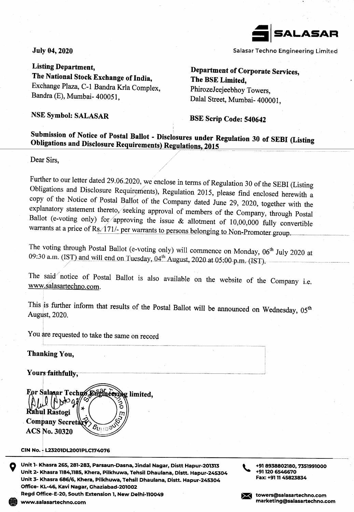

Salasar Techno Engineering Limited

**July 04, 2020** 

**Listing Department,** The National Stock Exchange of India, Exchange Plaza, C-1 Bandra Krla Complex, Bandra (E), Mumbai- 400051,

Department of Corporate Services, The BSE Limited, PhirozeJeejeebhoy Towers, Dalal Street, Mumbai- 400001,

**NSE Symbol: SALASAR** 

**BSE Scrip Code: 540642** 

## Submission of Notice of Postal Ballot - Disclosures under Regulation 30 of SEBI (Listing Obligations and Disclosure Requirements) Regulations, 2015

Dear Sirs.

Further to our letter dated 29.06.2020, we enclose in terms of Regulation 30 of the SEBI (Listing Obligations and Disclosure Requirements), Regulation 2015, please find enclosed herewith a copy of the Notice of Postal Ballot of the Company dated June 29, 2020, together with the explanatory statement thereto, seeking approval of members of the Company, through Postal Ballot (e-voting only) for approving the issue & allotment of 10,00,000 fully convertible warrants at a price of Rs. 171/- per warrants to persons belonging to Non-Promoter group.

The voting through Postal Ballot (e-voting only) will commence on Monday, 06<sup>th</sup> July 2020 at 09:30 a.m. (IST) and will end on Tuesday, 04<sup>th</sup> August, 2020 at 05:00 p.m. (IST).

The said notice of Postal Ballot is also available on the website of the Company i.e. www.salasartechno.com.

This is further inform that results of the Postal Ballot will be announced on Wednesday, 05<sup>th</sup> August, 2020.

You are requested to take the same on record

**Thanking You,** 

Yours faithfully.



CIN No. - L23201DL2001PLC174076

Unit 1- Khasra 265, 281-283, Parsaun-Dasna, Jindal Nagar, Distt Hapur-201313 Unit 2- Khasra 1184,1185, Khera, Pilkhuwa, Tehsil Dhaulana, Distt. Hapur-245304 Unit 3- Khasra 686/6, Khera, Pilkhuwa, Tehsil Dhaulana, Distt. Hapur-245304 Office- KL-46, Kavi Nagar, Ghaziabad-201002

Read Office-E-20, South Extension 1, New Delhi-110049

+91 8938802180, 7351991000 +91 120 654 6670 Fax: +91 11 45823834

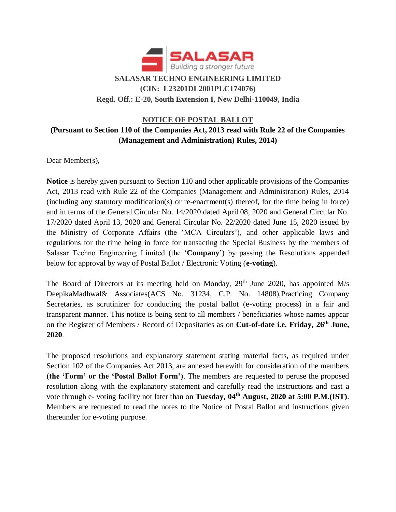

# **(CIN: L23201DL2001PLC174076) Regd. Off.: E-20, South Extension I, New Delhi-110049, India**

## **NOTICE OF POSTAL BALLOT (Pursuant to Section 110 of the Companies Act, 2013 read with Rule 22 of the Companies (Management and Administration) Rules, 2014)**

Dear Member(s),

**Notice** is hereby given pursuant to Section 110 and other applicable provisions of the Companies Act, 2013 read with Rule 22 of the Companies (Management and Administration) Rules, 2014 (including any statutory modification(s) or re-enactment(s) thereof, for the time being in force) and in terms of the General Circular No. 14/2020 dated April 08, 2020 and General Circular No. 17/2020 dated April 13, 2020 and General Circular No. 22/2020 dated June 15, 2020 issued by the Ministry of Corporate Affairs (the 'MCA Circulars'), and other applicable laws and regulations for the time being in force for transacting the Special Business by the members of Salasar Techno Engineering Limited (the '**Company**') by passing the Resolutions appended below for approval by way of Postal Ballot / Electronic Voting (**e-voting**).

The Board of Directors at its meeting held on Monday, 29<sup>th</sup> June 2020, has appointed M/s DeepikaMadhwal& Associates(ACS No. 31234, C.P. No. 14808),Practicing Company Secretaries, as scrutinizer for conducting the postal ballot (e-voting process) in a fair and transparent manner. This notice is being sent to all members / beneficiaries whose names appear on the Register of Members / Record of Depositaries as on **Cut-of-date i.e. Friday, 26th June, 2020**.

The proposed resolutions and explanatory statement stating material facts, as required under Section 102 of the Companies Act 2013, are annexed herewith for consideration of the members **(the 'Form' or the 'Postal Ballot Form')**. The members are requested to peruse the proposed resolution along with the explanatory statement and carefully read the instructions and cast a vote through e- voting facility not later than on **Tuesday, 04th August, 2020 at 5:00 P.M.(IST)**. Members are requested to read the notes to the Notice of Postal Ballot and instructions given thereunder for e-voting purpose.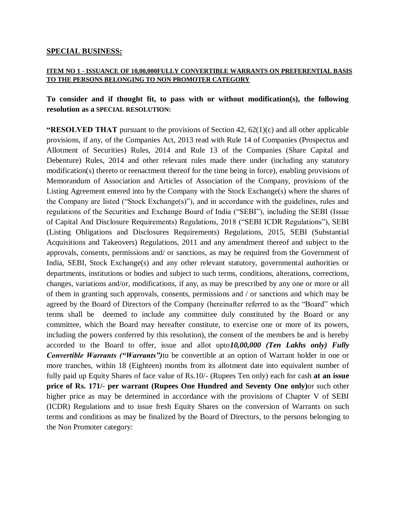#### **SPECIAL BUSINESS:**

#### **ITEM NO 1 - ISSUANCE OF 10,00,000FULLY CONVERTIBLE WARRANTS ON PREFERENTIAL BASIS TO THE PERSONS BELONGING TO NON PROMOTER CATEGORY**

#### **To consider and if thought fit, to pass with or without modification(s), the following resolution as a SPECIAL RESOLUTION:**

**"RESOLVED THAT** pursuant to the provisions of Section 42, 62(1)(c) and all other applicable provisions, if any, of the Companies Act, 2013 read with Rule 14 of Companies (Prospectus and Allotment of Securities) Rules, 2014 and Rule 13 of the Companies (Share Capital and Debenture) Rules, 2014 and other relevant rules made there under (including any statutory modification(s) thereto or reenactment thereof for the time being in force), enabling provisions of Memorandum of Association and Articles of Association of the Company, provisions of the Listing Agreement entered into by the Company with the Stock Exchange(s) where the shares of the Company are listed ("Stock Exchange(s)"), and in accordance with the guidelines, rules and regulations of the Securities and Exchange Board of India ("SEBI"), including the SEBI (Issue of Capital And Disclosure Requirements) Regulations, 2018 ("SEBI ICDR Regulations"), SEBI (Listing Obligations and Disclosures Requirements) Regulations, 2015, SEBI (Substantial Acquisitions and Takeovers) Regulations, 2011 and any amendment thereof and subject to the approvals, consents, permissions and/ or sanctions, as may be required from the Government of India, SEBI, Stock Exchange(s) and any other relevant statutory, governmental authorities or departments, institutions or bodies and subject to such terms, conditions, alterations, corrections, changes, variations and/or, modifications, if any, as may be prescribed by any one or more or all of them in granting such approvals, consents, permissions and / or sanctions and which may be agreed by the Board of Directors of the Company (hereinafter referred to as the "Board" which terms shall be deemed to include any committee duly constituted by the Board or any committee, which the Board may hereafter constitute, to exercise one or more of its powers, including the powers conferred by this resolution), the consent of the members be and is hereby accorded to the Board to offer, issue and allot upto*10,00,000 (Ten Lakhs only) Fully Convertible Warrants ("Warrants")*to be convertible at an option of Warrant holder in one or more tranches, within 18 (Eighteen) months from its allotment date into equivalent number of fully paid up Equity Shares of face value of Rs.10/- (Rupees Ten only) each for cash **at an issue price of Rs. 171/- per warrant (Rupees One Hundred and Seventy One only)**or such other higher price as may be determined in accordance with the provisions of Chapter V of SEBI (ICDR) Regulations and to issue fresh Equity Shares on the conversion of Warrants on such terms and conditions as may be finalized by the Board of Directors, to the persons belonging to the Non Promoter category: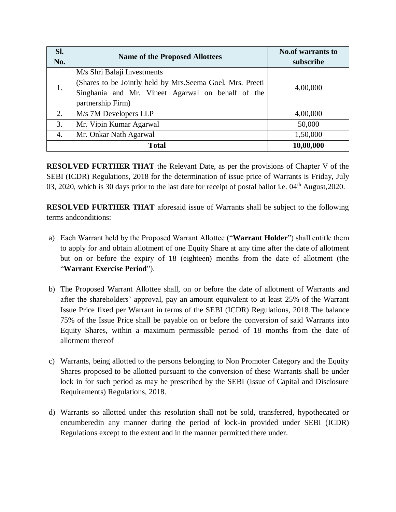| Sl.<br>No. | <b>Name of the Proposed Allottees</b>                                                                                                | <b>No.of warrants to</b><br>subscribe |
|------------|--------------------------------------------------------------------------------------------------------------------------------------|---------------------------------------|
|            | M/s Shri Balaji Investments                                                                                                          |                                       |
| 1.         | (Shares to be Jointly held by Mrs. Seema Goel, Mrs. Preeti<br>Singhania and Mr. Vineet Agarwal on behalf of the<br>partnership Firm) | 4,00,000                              |
| 2.         | M/s 7M Developers LLP                                                                                                                | 4,00,000                              |
| 3.         | Mr. Vipin Kumar Agarwal                                                                                                              | 50,000                                |
| 4.         | Mr. Onkar Nath Agarwal                                                                                                               | 1,50,000                              |
|            | <b>Total</b>                                                                                                                         | 10,00,000                             |

**RESOLVED FURTHER THAT** the Relevant Date, as per the provisions of Chapter V of the SEBI (ICDR) Regulations, 2018 for the determination of issue price of Warrants is Friday, July 03, 2020, which is 30 days prior to the last date for receipt of postal ballot i.e.  $04<sup>th</sup>$  August, 2020.

**RESOLVED FURTHER THAT** aforesaid issue of Warrants shall be subject to the following terms andconditions:

- a) Each Warrant held by the Proposed Warrant Allottee ("**Warrant Holder**") shall entitle them to apply for and obtain allotment of one Equity Share at any time after the date of allotment but on or before the expiry of 18 (eighteen) months from the date of allotment (the "**Warrant Exercise Period**").
- b) The Proposed Warrant Allottee shall, on or before the date of allotment of Warrants and after the shareholders' approval, pay an amount equivalent to at least 25% of the Warrant Issue Price fixed per Warrant in terms of the SEBI (ICDR) Regulations, 2018.The balance 75% of the Issue Price shall be payable on or before the conversion of said Warrants into Equity Shares, within a maximum permissible period of 18 months from the date of allotment thereof
- c) Warrants, being allotted to the persons belonging to Non Promoter Category and the Equity Shares proposed to be allotted pursuant to the conversion of these Warrants shall be under lock in for such period as may be prescribed by the SEBI (Issue of Capital and Disclosure Requirements) Regulations, 2018.
- d) Warrants so allotted under this resolution shall not be sold, transferred, hypothecated or encumberedin any manner during the period of lock-in provided under SEBI (ICDR) Regulations except to the extent and in the manner permitted there under.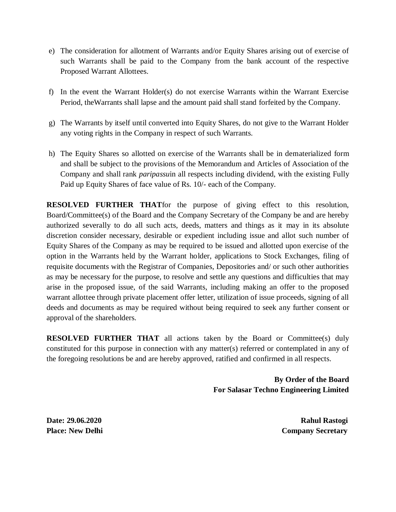- e) The consideration for allotment of Warrants and/or Equity Shares arising out of exercise of such Warrants shall be paid to the Company from the bank account of the respective Proposed Warrant Allottees.
- f) In the event the Warrant Holder(s) do not exercise Warrants within the Warrant Exercise Period, theWarrants shall lapse and the amount paid shall stand forfeited by the Company.
- g) The Warrants by itself until converted into Equity Shares, do not give to the Warrant Holder any voting rights in the Company in respect of such Warrants.
- h) The Equity Shares so allotted on exercise of the Warrants shall be in dematerialized form and shall be subject to the provisions of the Memorandum and Articles of Association of the Company and shall rank *paripassu*in all respects including dividend, with the existing Fully Paid up Equity Shares of face value of Rs. 10/- each of the Company.

**RESOLVED FURTHER THAT**for the purpose of giving effect to this resolution, Board/Committee(s) of the Board and the Company Secretary of the Company be and are hereby authorized severally to do all such acts, deeds, matters and things as it may in its absolute discretion consider necessary, desirable or expedient including issue and allot such number of Equity Shares of the Company as may be required to be issued and allotted upon exercise of the option in the Warrants held by the Warrant holder, applications to Stock Exchanges, filing of requisite documents with the Registrar of Companies, Depositories and/ or such other authorities as may be necessary for the purpose, to resolve and settle any questions and difficulties that may arise in the proposed issue, of the said Warrants, including making an offer to the proposed warrant allottee through private placement offer letter, utilization of issue proceeds, signing of all deeds and documents as may be required without being required to seek any further consent or approval of the shareholders.

**RESOLVED FURTHER THAT** all actions taken by the Board or Committee(s) duly constituted for this purpose in connection with any matter(s) referred or contemplated in any of the foregoing resolutions be and are hereby approved, ratified and confirmed in all respects.

> **By Order of the Board For Salasar Techno Engineering Limited**

**Date: 29.06.2020 Rahul Rastogi Place: New Delhi** Company Secretary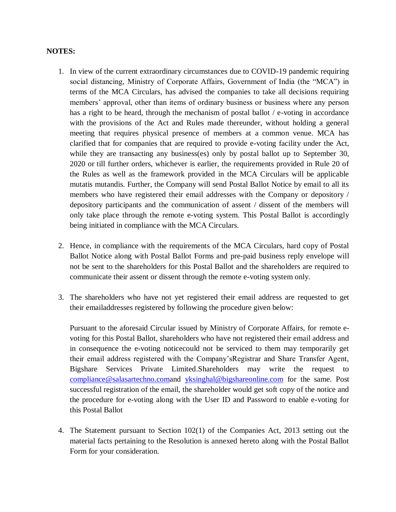#### **NOTES:**

- 1. In view of the current extraordinary circumstances due to COVID-19 pandemic requiring social distancing, Ministry of Corporate Affairs, Government of India (the "MCA") in terms of the MCA Circulars, has advised the companies to take all decisions requiring members' approval, other than items of ordinary business or business where any person has a right to be heard, through the mechanism of postal ballot / e-voting in accordance with the provisions of the Act and Rules made thereunder, without holding a general meeting that requires physical presence of members at a common venue. MCA has clarified that for companies that are required to provide e-voting facility under the Act, while they are transacting any business(es) only by postal ballot up to September 30, 2020 or till further orders, whichever is earlier, the requirements provided in Rule 20 of the Rules as well as the framework provided in the MCA Circulars will be applicable mutatis mutandis. Further, the Company will send Postal Ballot Notice by email to all its members who have registered their email addresses with the Company or depository / depository participants and the communication of assent / dissent of the members will only take place through the remote e-voting system. This Postal Ballot is accordingly being initiated in compliance with the MCA Circulars.
- 2. Hence, in compliance with the requirements of the MCA Circulars, hard copy of Postal Ballot Notice along with Postal Ballot Forms and pre-paid business reply envelope will not be sent to the shareholders for this Postal Ballot and the shareholders are required to communicate their assent or dissent through the remote e-voting system only.
- 3. The shareholders who have not yet registered their email address are requested to get their emailaddresses registered by following the procedure given below:

Pursuant to the aforesaid Circular issued by Ministry of Corporate Affairs, for remote evoting for this Postal Ballot, shareholders who have not registered their email address and in consequence the e-voting noticecould not be serviced to them may temporarily get their email address registered with the Company'sRegistrar and Share Transfer Agent, Bigshare Services Private Limited.Shareholders may write the request to [compliance@salasartechno.coma](mailto:compliance@salasartechno.com)nd [yksinghal@bigshareonline.com](mailto:yksinghal@bigshareonline.com) for the same. Post successful registration of the email, the shareholder would get soft copy of the notice and the procedure for e-voting along with the User ID and Password to enable e-voting for this Postal Ballot

4. The Statement pursuant to Section 102(1) of the Companies Act, 2013 setting out the material facts pertaining to the Resolution is annexed hereto along with the Postal Ballot Form for your consideration.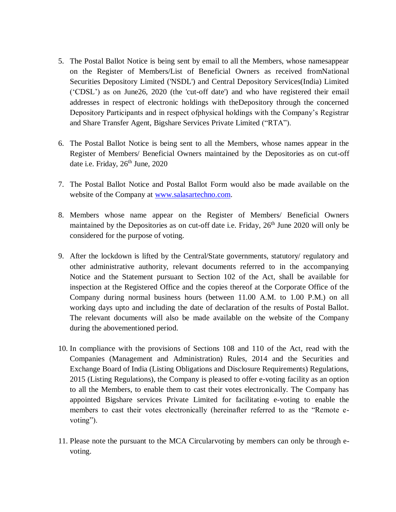- 5. The Postal Ballot Notice is being sent by email to all the Members, whose namesappear on the Register of Members/List of Beneficial Owners as received fromNational Securities Depository Limited ('NSDL') and Central Depository Services(India) Limited ('CDSL') as on June26, 2020 (the 'cut-off date') and who have registered their email addresses in respect of electronic holdings with theDepository through the concerned Depository Participants and in respect ofphysical holdings with the Company's Registrar and Share Transfer Agent, Bigshare Services Private Limited ("RTA").
- 6. The Postal Ballot Notice is being sent to all the Members, whose names appear in the Register of Members/ Beneficial Owners maintained by the Depositories as on cut-off date i.e. Friday,  $26<sup>th</sup>$  June,  $2020$
- 7. The Postal Ballot Notice and Postal Ballot Form would also be made available on the website of the Company at [www.salasartechno.com.](http://www.salasartechno.com/)
- 8. Members whose name appear on the Register of Members/ Beneficial Owners maintained by the Depositories as on cut-off date i.e. Friday,  $26<sup>th</sup>$  June 2020 will only be considered for the purpose of voting.
- 9. After the lockdown is lifted by the Central/State governments, statutory/ regulatory and other administrative authority, relevant documents referred to in the accompanying Notice and the Statement pursuant to Section 102 of the Act, shall be available for inspection at the Registered Office and the copies thereof at the Corporate Office of the Company during normal business hours (between 11.00 A.M. to 1.00 P.M.) on all working days upto and including the date of declaration of the results of Postal Ballot. The relevant documents will also be made available on the website of the Company during the abovementioned period.
- 10. In compliance with the provisions of Sections 108 and 110 of the Act, read with the Companies (Management and Administration) Rules, 2014 and the Securities and Exchange Board of India (Listing Obligations and Disclosure Requirements) Regulations, 2015 (Listing Regulations), the Company is pleased to offer e-voting facility as an option to all the Members, to enable them to cast their votes electronically. The Company has appointed Bigshare services Private Limited for facilitating e-voting to enable the members to cast their votes electronically (hereinafter referred to as the "Remote evoting").
- 11. Please note the pursuant to the MCA Circularvoting by members can only be through evoting.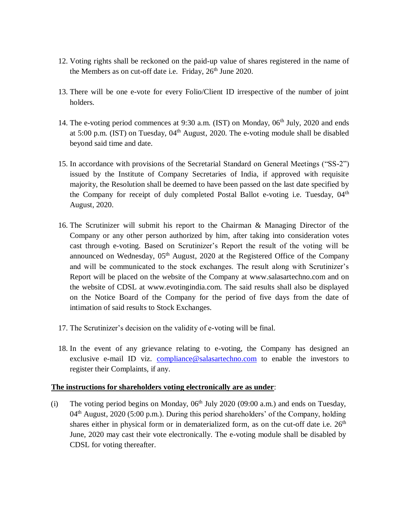- 12. Voting rights shall be reckoned on the paid-up value of shares registered in the name of the Members as on cut-off date i.e. Friday,  $26<sup>th</sup>$  June 2020.
- 13. There will be one e-vote for every Folio/Client ID irrespective of the number of joint holders.
- 14. The e-voting period commences at 9:30 a.m. (IST) on Monday, 06<sup>th</sup> July, 2020 and ends at  $5:00$  p.m. (IST) on Tuesday,  $04<sup>th</sup>$  August, 2020. The e-voting module shall be disabled beyond said time and date.
- 15. In accordance with provisions of the Secretarial Standard on General Meetings ("SS-2") issued by the Institute of Company Secretaries of India, if approved with requisite majority, the Resolution shall be deemed to have been passed on the last date specified by the Company for receipt of duly completed Postal Ballot e-voting i.e. Tuesday,  $04<sup>th</sup>$ August, 2020.
- 16. The Scrutinizer will submit his report to the Chairman & Managing Director of the Company or any other person authorized by him, after taking into consideration votes cast through e-voting. Based on Scrutinizer's Report the result of the voting will be announced on Wednesday,  $05<sup>th</sup>$  August, 2020 at the Registered Office of the Company and will be communicated to the stock exchanges. The result along with Scrutinizer's Report will be placed on the website of the Company at www.salasartechno.com and on the website of CDSL at www.evotingindia.com. The said results shall also be displayed on the Notice Board of the Company for the period of five days from the date of intimation of said results to Stock Exchanges.
- 17. The Scrutinizer's decision on the validity of e-voting will be final.
- 18. In the event of any grievance relating to e-voting, the Company has designed an exclusive e-mail ID viz. [compliance@salasartechno.com](mailto:compliance@salasartechno.com) to enable the investors to register their Complaints, if any.

#### **The instructions for shareholders voting electronically are as under**:

(i) The voting period begins on Monday,  $06<sup>th</sup>$  July 2020 (09:00 a.m.) and ends on Tuesday,  $04<sup>th</sup>$  August, 2020 (5:00 p.m.). During this period shareholders' of the Company, holding shares either in physical form or in dematerialized form, as on the cut-off date i.e.  $26<sup>th</sup>$ June, 2020 may cast their vote electronically. The e-voting module shall be disabled by CDSL for voting thereafter.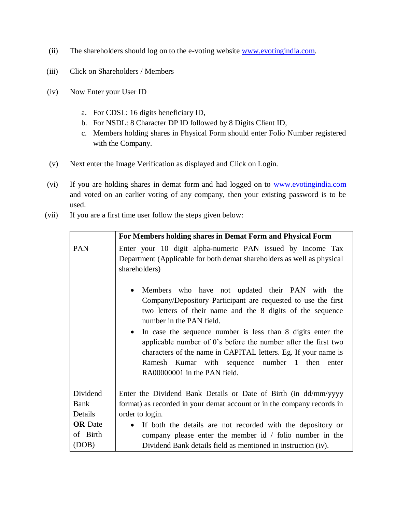- (ii) The shareholders should log on to the e-voting website [www.evotingindia.com.](http://www.evotingindia.com/)
- (iii) Click on Shareholders / Members
- (iv) Now Enter your User ID
	- a. For CDSL: 16 digits beneficiary ID,
	- b. For NSDL: 8 Character DP ID followed by 8 Digits Client ID,
	- c. Members holding shares in Physical Form should enter Folio Number registered with the Company.
- (v) Next enter the Image Verification as displayed and Click on Login.
- (vi) If you are holding shares in demat form and had logged on to [www.evotingindia.com](http://www.evotingindia.com/) and voted on an earlier voting of any company, then your existing password is to be used.
- (vii) If you are a first time user follow the steps given below:

|                | For Members holding shares in Demat Form and Physical Form                                                                                                                                                                                                                                                                                                                                                                                                                                                                                                                                                                                                                            |  |  |  |
|----------------|---------------------------------------------------------------------------------------------------------------------------------------------------------------------------------------------------------------------------------------------------------------------------------------------------------------------------------------------------------------------------------------------------------------------------------------------------------------------------------------------------------------------------------------------------------------------------------------------------------------------------------------------------------------------------------------|--|--|--|
| <b>PAN</b>     | Enter your 10 digit alpha-numeric PAN issued by Income Tax<br>Department (Applicable for both demat shareholders as well as physical<br>shareholders)<br>Members who have not updated their PAN with the<br>$\bullet$<br>Company/Depository Participant are requested to use the first<br>two letters of their name and the 8 digits of the sequence<br>number in the PAN field.<br>In case the sequence number is less than 8 digits enter the<br>$\bullet$<br>applicable number of 0's before the number after the first two<br>characters of the name in CAPITAL letters. Eg. If your name is<br>Ramesh Kumar with sequence number 1 then<br>enter<br>RA00000001 in the PAN field. |  |  |  |
|                |                                                                                                                                                                                                                                                                                                                                                                                                                                                                                                                                                                                                                                                                                       |  |  |  |
| Dividend       | Enter the Dividend Bank Details or Date of Birth (in dd/mm/yyyy                                                                                                                                                                                                                                                                                                                                                                                                                                                                                                                                                                                                                       |  |  |  |
| Bank           | format) as recorded in your demat account or in the company records in                                                                                                                                                                                                                                                                                                                                                                                                                                                                                                                                                                                                                |  |  |  |
| Details        | order to login.                                                                                                                                                                                                                                                                                                                                                                                                                                                                                                                                                                                                                                                                       |  |  |  |
| <b>OR</b> Date | If both the details are not recorded with the depository or<br>$\bullet$                                                                                                                                                                                                                                                                                                                                                                                                                                                                                                                                                                                                              |  |  |  |
| of Birth       | company please enter the member id $/$ folio number in the                                                                                                                                                                                                                                                                                                                                                                                                                                                                                                                                                                                                                            |  |  |  |
| (DOB)          | Dividend Bank details field as mentioned in instruction (iv).                                                                                                                                                                                                                                                                                                                                                                                                                                                                                                                                                                                                                         |  |  |  |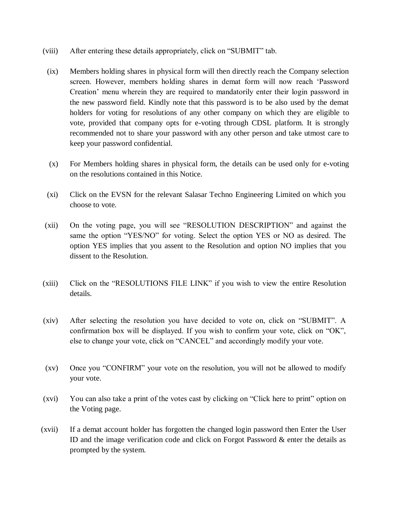- (viii) After entering these details appropriately, click on "SUBMIT" tab.
- (ix) Members holding shares in physical form will then directly reach the Company selection screen. However, members holding shares in demat form will now reach 'Password Creation' menu wherein they are required to mandatorily enter their login password in the new password field. Kindly note that this password is to be also used by the demat holders for voting for resolutions of any other company on which they are eligible to vote, provided that company opts for e-voting through CDSL platform. It is strongly recommended not to share your password with any other person and take utmost care to keep your password confidential.
- (x) For Members holding shares in physical form, the details can be used only for e-voting on the resolutions contained in this Notice.
- (xi) Click on the EVSN for the relevant Salasar Techno Engineering Limited on which you choose to vote.
- (xii) On the voting page, you will see "RESOLUTION DESCRIPTION" and against the same the option "YES/NO" for voting. Select the option YES or NO as desired. The option YES implies that you assent to the Resolution and option NO implies that you dissent to the Resolution.
- (xiii) Click on the "RESOLUTIONS FILE LINK" if you wish to view the entire Resolution details.
- (xiv) After selecting the resolution you have decided to vote on, click on "SUBMIT". A confirmation box will be displayed. If you wish to confirm your vote, click on "OK", else to change your vote, click on "CANCEL" and accordingly modify your vote.
- (xv) Once you "CONFIRM" your vote on the resolution, you will not be allowed to modify your vote.
- (xvi) You can also take a print of the votes cast by clicking on "Click here to print" option on the Voting page.
- (xvii) If a demat account holder has forgotten the changed login password then Enter the User ID and the image verification code and click on Forgot Password & enter the details as prompted by the system.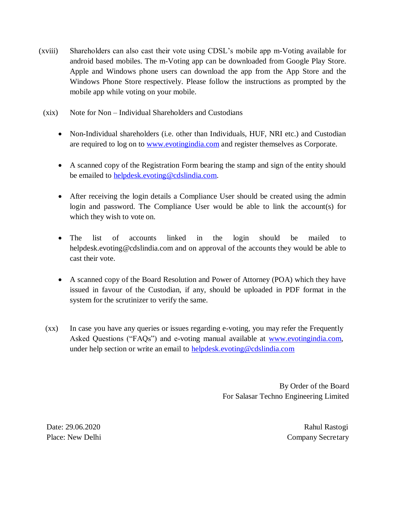- (xviii) Shareholders can also cast their vote using CDSL's mobile app m-Voting available for android based mobiles. The m-Voting app can be downloaded from Google Play Store. Apple and Windows phone users can download the app from the App Store and the Windows Phone Store respectively. Please follow the instructions as prompted by the mobile app while voting on your mobile.
	- (xix) Note for Non Individual Shareholders and Custodians
		- Non-Individual shareholders (i.e. other than Individuals, HUF, NRI etc.) and Custodian are required to log on to [www.evotingindia.com](http://www.evotingindia.com/) and register themselves as Corporate.
		- A scanned copy of the Registration Form bearing the stamp and sign of the entity should be emailed to [helpdesk.evoting@cdslindia.com.](mailto:helpdesk.evoting@cdslindia.com)
		- After receiving the login details a Compliance User should be created using the admin login and password. The Compliance User would be able to link the account(s) for which they wish to vote on.
		- The list of accounts linked in the login should be mailed to helpdesk.evoting@cdslindia.com and on approval of the accounts they would be able to cast their vote.
		- A scanned copy of the Board Resolution and Power of Attorney (POA) which they have issued in favour of the Custodian, if any, should be uploaded in PDF format in the system for the scrutinizer to verify the same.
	- (xx) In case you have any queries or issues regarding e-voting, you may refer the Frequently Asked Questions ("FAQs") and e-voting manual available at [www.evotingindia.com,](http://www.evotingindia.com/) under help section or write an email to [helpdesk.evoting@cdslindia.com](mailto:helpdesk.evoting@cdslindia.com)

By Order of the Board For Salasar Techno Engineering Limited

Date: 29.06.2020 Rahul Rastogi

Place: New Delhi Company Secretary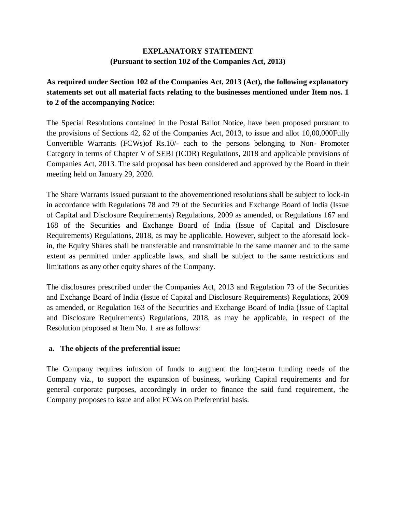#### **EXPLANATORY STATEMENT (Pursuant to section 102 of the Companies Act, 2013)**

## **As required under Section 102 of the Companies Act, 2013 (Act), the following explanatory statements set out all material facts relating to the businesses mentioned under Item nos. 1 to 2 of the accompanying Notice:**

The Special Resolutions contained in the Postal Ballot Notice, have been proposed pursuant to the provisions of Sections 42, 62 of the Companies Act, 2013, to issue and allot 10,00,000Fully Convertible Warrants (FCWs)of Rs.10/- each to the persons belonging to Non- Promoter Category in terms of Chapter V of SEBI (ICDR) Regulations, 2018 and applicable provisions of Companies Act, 2013. The said proposal has been considered and approved by the Board in their meeting held on January 29, 2020.

The Share Warrants issued pursuant to the abovementioned resolutions shall be subject to lock-in in accordance with Regulations 78 and 79 of the Securities and Exchange Board of India (Issue of Capital and Disclosure Requirements) Regulations, 2009 as amended, or Regulations 167 and 168 of the Securities and Exchange Board of India (Issue of Capital and Disclosure Requirements) Regulations, 2018, as may be applicable. However, subject to the aforesaid lockin, the Equity Shares shall be transferable and transmittable in the same manner and to the same extent as permitted under applicable laws, and shall be subject to the same restrictions and limitations as any other equity shares of the Company.

The disclosures prescribed under the Companies Act, 2013 and Regulation 73 of the Securities and Exchange Board of India (Issue of Capital and Disclosure Requirements) Regulations, 2009 as amended, or Regulation 163 of the Securities and Exchange Board of India (Issue of Capital and Disclosure Requirements) Regulations, 2018, as may be applicable, in respect of the Resolution proposed at Item No. 1 are as follows:

#### **a. The objects of the preferential issue:**

The Company requires infusion of funds to augment the long-term funding needs of the Company viz., to support the expansion of business, working Capital requirements and for general corporate purposes, accordingly in order to finance the said fund requirement, the Company proposes to issue and allot FCWs on Preferential basis.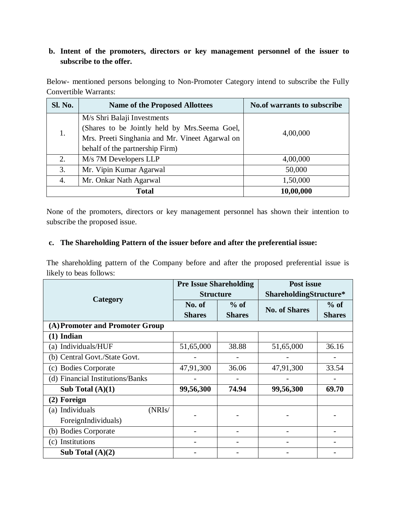## **b. Intent of the promoters, directors or key management personnel of the issuer to subscribe to the offer.**

Below- mentioned persons belonging to Non-Promoter Category intend to subscribe the Fully Convertible Warrants:

| Sl. No. | <b>Name of the Proposed Allottees</b>           | <b>No.of warrants to subscribe</b> |  |
|---------|-------------------------------------------------|------------------------------------|--|
| 1.      | M/s Shri Balaji Investments                     |                                    |  |
|         | (Shares to be Jointly held by Mrs.Seema Goel,   | 4,00,000                           |  |
|         | Mrs. Preeti Singhania and Mr. Vineet Agarwal on |                                    |  |
|         | behalf of the partnership Firm)                 |                                    |  |
| 2.      | M/s 7M Developers LLP                           | 4,00,000                           |  |
| 3.      | Mr. Vipin Kumar Agarwal                         | 50,000                             |  |
| 4.      | Mr. Onkar Nath Agarwal                          | 1,50,000                           |  |
|         | <b>Total</b>                                    | 10,00,000                          |  |

None of the promoters, directors or key management personnel has shown their intention to subscribe the proposed issue.

## **c. The Shareholding Pattern of the issuer before and after the preferential issue:**

The shareholding pattern of the Company before and after the proposed preferential issue is likely to beas follows:

|                                  | <b>Pre Issue Shareholding</b> |               | Post issue             |               |  |
|----------------------------------|-------------------------------|---------------|------------------------|---------------|--|
|                                  | <b>Structure</b>              |               | ShareholdingStructure* |               |  |
| Category                         | No. of                        | $%$ of        | <b>No. of Shares</b>   | $%$ of        |  |
|                                  | <b>Shares</b>                 | <b>Shares</b> |                        | <b>Shares</b> |  |
| (A) Promoter and Promoter Group  |                               |               |                        |               |  |
| $(1)$ Indian                     |                               |               |                        |               |  |
| (a) Individuals/HUF              | 51,65,000                     | 38.88         | 51,65,000              | 36.16         |  |
| (b) Central Govt./State Govt.    |                               |               |                        |               |  |
| (c) Bodies Corporate             | 47,91,300                     | 36.06         | 47,91,300              | 33.54         |  |
| (d) Financial Institutions/Banks |                               |               |                        |               |  |
| Sub Total $(A)(1)$               | 99,56,300                     | 74.94         | 99,56,300              | 69.70         |  |
| (2) Foreign                      |                               |               |                        |               |  |
| (a) Individuals<br>(NRIs/        |                               |               |                        |               |  |
| ForeignIndividuals)              |                               |               |                        |               |  |
| (b) Bodies Corporate             |                               |               |                        |               |  |
| (c) Institutions                 |                               |               |                        |               |  |
| Sub Total $(A)(2)$               |                               |               |                        |               |  |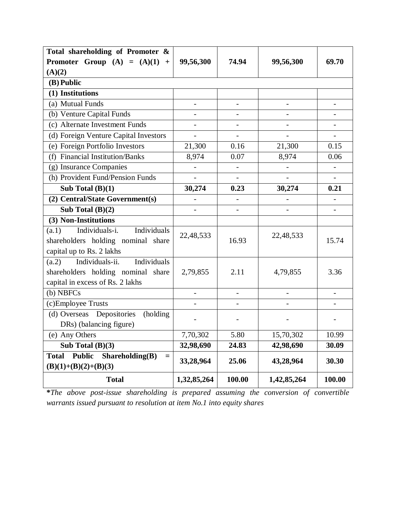| Total shareholding of Promoter &                        |                          |                          |                |                          |  |
|---------------------------------------------------------|--------------------------|--------------------------|----------------|--------------------------|--|
| Promoter Group $(A) = (A)(1) +$                         | 99,56,300                | 74.94                    | 99,56,300      | 69.70                    |  |
| (A)(2)                                                  |                          |                          |                |                          |  |
| (B) Public                                              |                          |                          |                |                          |  |
| (1) Institutions                                        |                          |                          |                |                          |  |
| (a) Mutual Funds                                        | $\overline{a}$           | $\overline{a}$           |                |                          |  |
| (b) Venture Capital Funds                               |                          |                          |                |                          |  |
| (c) Alternate Investment Funds                          | $\overline{\phantom{a}}$ | $\overline{\phantom{0}}$ | -              | $\blacksquare$           |  |
| (d) Foreign Venture Capital Investors                   |                          |                          |                |                          |  |
| (e) Foreign Portfolio Investors                         | 21,300                   | 0.16                     | 21,300         | 0.15                     |  |
| <b>Financial Institution/Banks</b><br>(f)               | 8,974                    | 0.07                     | 8,974          | 0.06                     |  |
| (g) Insurance Companies                                 | $\overline{\phantom{0}}$ |                          |                |                          |  |
| (h) Provident Fund/Pension Funds                        |                          |                          | $\overline{a}$ |                          |  |
| Sub Total $(B)(1)$                                      | 30,274                   | 0.23                     | 30,274         | 0.21                     |  |
| (2) Central/State Government(s)                         |                          |                          |                |                          |  |
| Sub Total $(B)(2)$                                      |                          | $\overline{a}$           |                | $\overline{\phantom{0}}$ |  |
| (3) Non-Institutions                                    |                          |                          |                |                          |  |
| Individuals-i.<br>Individuals<br>(a.1)                  | 22,48,533                |                          | 22,48,533      |                          |  |
| shareholders holding nominal share                      | 16.93                    |                          |                | 15.74                    |  |
| capital up to Rs. 2 lakhs                               |                          |                          |                |                          |  |
| Individuals-ii.<br>Individuals<br>(a.2)                 |                          |                          |                |                          |  |
| shareholders holding nominal share                      | 2,79,855                 | 2.11                     | 4,79,855       | 3.36                     |  |
| capital in excess of Rs. 2 lakhs                        |                          |                          |                |                          |  |
| (b) NBFCs                                               |                          | $\overline{a}$           |                | $\overline{\phantom{a}}$ |  |
| (c)Employee Trusts                                      |                          | $\overline{\phantom{0}}$ |                |                          |  |
| (d) Overseas Depositories<br>(holding)                  |                          |                          |                |                          |  |
| DRs) (balancing figure)                                 |                          |                          |                |                          |  |
| (e) Any Others                                          | 7,70,302                 | 5.80                     | 15,70,302      | 10.99                    |  |
| Sub Total $(B)(3)$                                      | 32,98,690                | 24.83                    | 42,98,690      | 30.09                    |  |
| Shareholding(B)<br><b>Total</b><br><b>Public</b><br>$=$ | 33,28,964                | 25.06                    | 43,28,964      | 30.30                    |  |
| $(B)(1)+(B)(2)+(B)(3)$                                  |                          |                          |                |                          |  |
| <b>Total</b>                                            | 1,32,85,264              | 100.00                   | 1,42,85,264    | 100.00                   |  |

**\****The above post-issue shareholding is prepared assuming the conversion of convertible warrants issued pursuant to resolution at item No.1 into equity shares*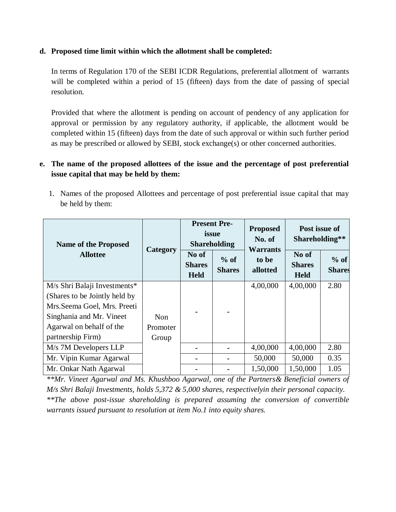#### **d. Proposed time limit within which the allotment shall be completed:**

In terms of Regulation 170 of the SEBI ICDR Regulations, preferential allotment of warrants will be completed within a period of 15 (fifteen) days from the date of passing of special resolution.

Provided that where the allotment is pending on account of pendency of any application for approval or permission by any regulatory authority, if applicable, the allotment would be completed within 15 (fifteen) days from the date of such approval or within such further period as may be prescribed or allowed by SEBI, stock exchange(s) or other concerned authorities.

## **e. The name of the proposed allottees of the issue and the percentage of post preferential issue capital that may be held by them:**

1. Names of the proposed Allottees and percentage of post preferential issue capital that may be held by them:

| <b>Name of the Proposed</b>   | Category   | <b>Present Pre-</b><br>issue<br><b>Shareholding</b> |                         | <b>Proposed</b><br>No. of<br><b>Warrants</b> | Post issue of<br>Shareholding**       |                         |
|-------------------------------|------------|-----------------------------------------------------|-------------------------|----------------------------------------------|---------------------------------------|-------------------------|
| <b>Allottee</b>               |            | No of<br><b>Shares</b><br><b>Held</b>               | $%$ of<br><b>Shares</b> | to be<br>allotted                            | No of<br><b>Shares</b><br><b>Held</b> | $%$ of<br><b>Shares</b> |
| M/s Shri Balaji Investments*  |            |                                                     |                         | 4,00,000                                     | 4,00,000                              | 2.80                    |
| (Shares to be Jointly held by |            |                                                     |                         |                                              |                                       |                         |
| Mrs. Seema Goel, Mrs. Preeti  |            |                                                     |                         |                                              |                                       |                         |
| Singhania and Mr. Vineet      | <b>Non</b> |                                                     |                         |                                              |                                       |                         |
| Agarwal on behalf of the      | Promoter   |                                                     |                         |                                              |                                       |                         |
| partnership Firm)             | Group      |                                                     |                         |                                              |                                       |                         |
| M/s 7M Developers LLP         |            |                                                     |                         | 4,00,000                                     | 4,00,000                              | 2.80                    |
| Mr. Vipin Kumar Agarwal       |            |                                                     |                         | 50,000                                       | 50,000                                | 0.35                    |
| Mr. Onkar Nath Agarwal        |            |                                                     |                         | 1,50,000                                     | 1,50,000                              | 1.05                    |

*\*\*Mr. Vineet Agarwal and Ms. Khushboo Agarwal, one of the Partners& Beneficial owners of M/s Shri Balaji Investments, holds 5,372 & 5,000 shares, respectivelyin their personal capacity. \*\*The above post-issue shareholding is prepared assuming the conversion of convertible warrants issued pursuant to resolution at item No.1 into equity shares.*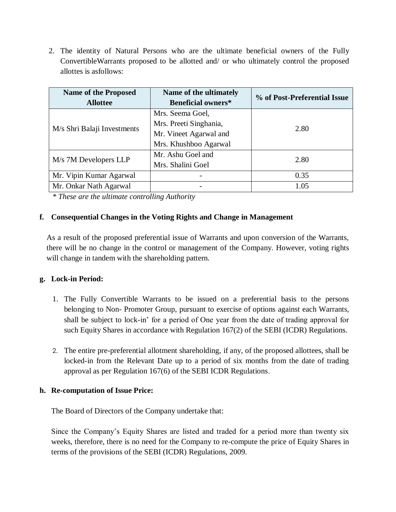2. The identity of Natural Persons who are the ultimate beneficial owners of the Fully ConvertibleWarrants proposed to be allotted and/ or who ultimately control the proposed allottes is asfollows:

| <b>Name of the Proposed</b> | Name of the ultimately    | % of Post-Preferential Issue |  |  |
|-----------------------------|---------------------------|------------------------------|--|--|
| <b>Allottee</b>             | <b>Beneficial owners*</b> |                              |  |  |
|                             | Mrs. Seema Goel,          |                              |  |  |
| M/s Shri Balaji Investments | Mrs. Preeti Singhania,    | 2.80                         |  |  |
|                             | Mr. Vineet Agarwal and    |                              |  |  |
|                             | Mrs. Khushboo Agarwal     |                              |  |  |
|                             | Mr. Ashu Goel and         | 2.80                         |  |  |
| M/s 7M Developers LLP       | Mrs. Shalini Goel         |                              |  |  |
| Mr. Vipin Kumar Agarwal     |                           | 0.35                         |  |  |
| Mr. Onkar Nath Agarwal      |                           | 1.05                         |  |  |

*\* These are the ultimate controlling Authority*

#### **f. Consequential Changes in the Voting Rights and Change in Management**

As a result of the proposed preferential issue of Warrants and upon conversion of the Warrants, there will be no change in the control or management of the Company. However, voting rights will change in tandem with the shareholding pattern.

#### **g. Lock-in Period:**

- 1. The Fully Convertible Warrants to be issued on a preferential basis to the persons belonging to Non- Promoter Group, pursuant to exercise of options against each Warrants, shall be subject to lock-in' for a period of One year from the date of trading approval for such Equity Shares in accordance with Regulation 167(2) of the SEBI (ICDR) Regulations.
- 2. The entire pre-preferential allotment shareholding, if any, of the proposed allottees, shall be locked-in from the Relevant Date up to a period of six months from the date of trading approval as per Regulation 167(6) of the SEBI ICDR Regulations.

#### **h. Re-computation of Issue Price:**

The Board of Directors of the Company undertake that:

Since the Company's Equity Shares are listed and traded for a period more than twenty six weeks, therefore, there is no need for the Company to re-compute the price of Equity Shares in terms of the provisions of the SEBI (ICDR) Regulations, 2009.